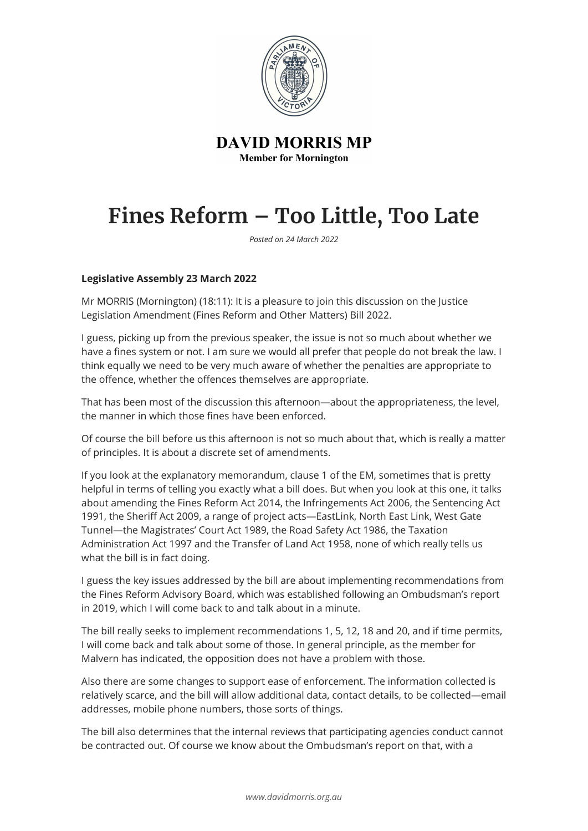

**DAVID MORRIS MP Member for Mornington** 

## **Fines Reform – Too Little, Too Late**

*Posted on 24 March 2022*

## **Legislative Assembly 23 March 2022**

Mr MORRIS (Mornington) (18:11): It is a pleasure to join this discussion on the Justice Legislation Amendment (Fines Reform and Other Matters) Bill 2022.

I guess, picking up from the previous speaker, the issue is not so much about whether we have a fines system or not. I am sure we would all prefer that people do not break the law. I think equally we need to be very much aware of whether the penalties are appropriate to the offence, whether the offences themselves are appropriate.

That has been most of the discussion this afternoon—about the appropriateness, the level, the manner in which those fines have been enforced.

Of course the bill before us this afternoon is not so much about that, which is really a matter of principles. It is about a discrete set of amendments.

If you look at the explanatory memorandum, clause 1 of the EM, sometimes that is pretty helpful in terms of telling you exactly what a bill does. But when you look at this one, it talks about amending the Fines Reform Act 2014, the Infringements Act 2006, the Sentencing Act 1991, the Sheriff Act 2009, a range of project acts—EastLink, North East Link, West Gate Tunnel—the Magistrates' Court Act 1989, the Road Safety Act 1986, the Taxation Administration Act 1997 and the Transfer of Land Act 1958, none of which really tells us what the bill is in fact doing.

I guess the key issues addressed by the bill are about implementing recommendations from the Fines Reform Advisory Board, which was established following an Ombudsman's report in 2019, which I will come back to and talk about in a minute.

The bill really seeks to implement recommendations 1, 5, 12, 18 and 20, and if time permits, I will come back and talk about some of those. In general principle, as the member for Malvern has indicated, the opposition does not have a problem with those.

Also there are some changes to support ease of enforcement. The information collected is relatively scarce, and the bill will allow additional data, contact details, to be collected—email addresses, mobile phone numbers, those sorts of things.

The bill also determines that the internal reviews that participating agencies conduct cannot be contracted out. Of course we know about the Ombudsman's report on that, with a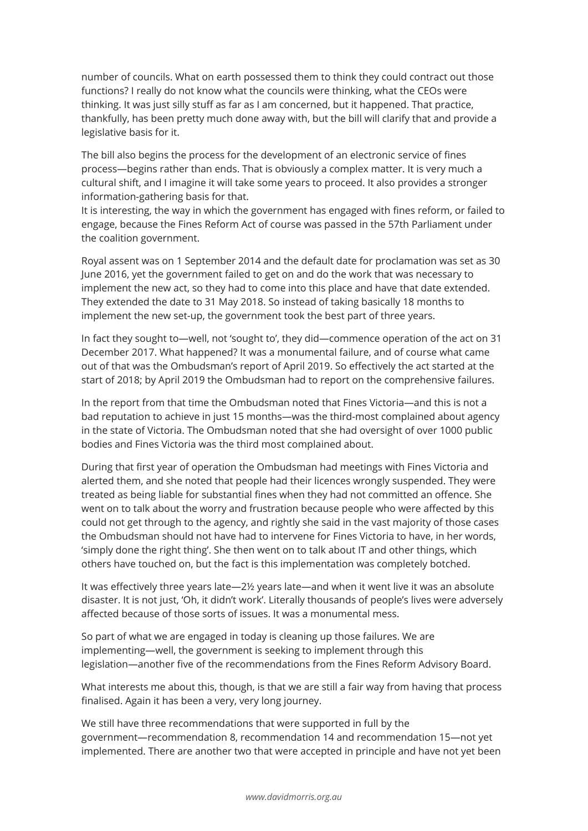number of councils. What on earth possessed them to think they could contract out those functions? I really do not know what the councils were thinking, what the CEOs were thinking. It was just silly stuff as far as I am concerned, but it happened. That practice, thankfully, has been pretty much done away with, but the bill will clarify that and provide a legislative basis for it.

The bill also begins the process for the development of an electronic service of fines process—begins rather than ends. That is obviously a complex matter. It is very much a cultural shift, and I imagine it will take some years to proceed. It also provides a stronger information-gathering basis for that.

It is interesting, the way in which the government has engaged with fines reform, or failed to engage, because the Fines Reform Act of course was passed in the 57th Parliament under the coalition government.

Royal assent was on 1 September 2014 and the default date for proclamation was set as 30 June 2016, yet the government failed to get on and do the work that was necessary to implement the new act, so they had to come into this place and have that date extended. They extended the date to 31 May 2018. So instead of taking basically 18 months to implement the new set-up, the government took the best part of three years.

In fact they sought to—well, not 'sought to', they did—commence operation of the act on 31 December 2017. What happened? It was a monumental failure, and of course what came out of that was the Ombudsman's report of April 2019. So effectively the act started at the start of 2018; by April 2019 the Ombudsman had to report on the comprehensive failures.

In the report from that time the Ombudsman noted that Fines Victoria—and this is not a bad reputation to achieve in just 15 months—was the third-most complained about agency in the state of Victoria. The Ombudsman noted that she had oversight of over 1000 public bodies and Fines Victoria was the third most complained about.

During that first year of operation the Ombudsman had meetings with Fines Victoria and alerted them, and she noted that people had their licences wrongly suspended. They were treated as being liable for substantial fines when they had not committed an offence. She went on to talk about the worry and frustration because people who were affected by this could not get through to the agency, and rightly she said in the vast majority of those cases the Ombudsman should not have had to intervene for Fines Victoria to have, in her words, 'simply done the right thing'. She then went on to talk about IT and other things, which others have touched on, but the fact is this implementation was completely botched.

It was effectively three years late—2½ years late—and when it went live it was an absolute disaster. It is not just, 'Oh, it didn't work'. Literally thousands of people's lives were adversely affected because of those sorts of issues. It was a monumental mess.

So part of what we are engaged in today is cleaning up those failures. We are implementing—well, the government is seeking to implement through this legislation—another five of the recommendations from the Fines Reform Advisory Board.

What interests me about this, though, is that we are still a fair way from having that process finalised. Again it has been a very, very long journey.

We still have three recommendations that were supported in full by the government—recommendation 8, recommendation 14 and recommendation 15—not yet implemented. There are another two that were accepted in principle and have not yet been